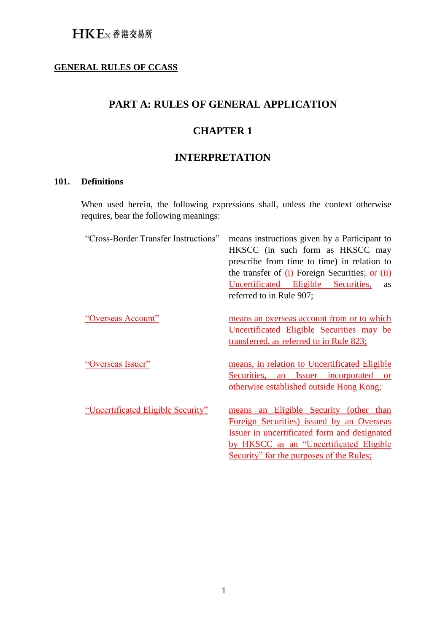### **GENERAL RULES OF CCASS**

## **PART A: RULES OF GENERAL APPLICATION**

## **CHAPTER 1**

## **INTERPRETATION**

### **101. Definitions**

When used herein, the following expressions shall, unless the context otherwise requires, bear the following meanings:

| "Cross-Border Transfer Instructions" | means instructions given by a Participant to<br>HKSCC (in such form as HKSCC may<br>prescribe from time to time) in relation to<br>the transfer of $(i)$ Foreign Securities; or $(ii)$<br>Uncertificated Eligible Securities,<br><b>as</b><br>referred to in Rule 907; |
|--------------------------------------|------------------------------------------------------------------------------------------------------------------------------------------------------------------------------------------------------------------------------------------------------------------------|
| "Overseas Account"                   | means an overseas account from or to which<br>Uncertificated Eligible Securities may be<br>transferred, as referred to in Rule 823;                                                                                                                                    |
| "Overseas Issuer"                    | means, in relation to Uncertificated Eligible<br>an Issuer incorporated or<br>Securities,<br>otherwise established outside Hong Kong;                                                                                                                                  |
| "Uncertificated Eligible Security"   | an Eligible Security (other than<br>means<br>Foreign Securities) issued by an Overseas<br>Issuer in uncertificated form and designated<br>by HKSCC as an "Uncertificated Eligible<br>Security" for the purposes of the Rules;                                          |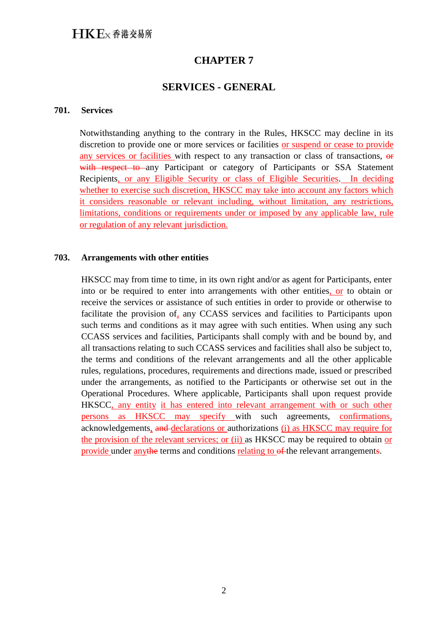### **SERVICES - GENERAL**

#### **701. Services**

Notwithstanding anything to the contrary in the Rules, HKSCC may decline in its discretion to provide one or more services or facilities or suspend or cease to provide any services or facilities with respect to any transaction or class of transactions,  $\theta$ with respect to any Participant or category of Participants or SSA Statement Recipients, or any Eligible Security or class of Eligible Securities. In deciding whether to exercise such discretion, HKSCC may take into account any factors which it considers reasonable or relevant including, without limitation, any restrictions, limitations, conditions or requirements under or imposed by any applicable law, rule or regulation of any relevant jurisdiction.

#### **703. Arrangements with other entities**

HKSCC may from time to time, in its own right and/or as agent for Participants, enter into or be required to enter into arrangements with other entities, or to obtain or receive the services or assistance of such entities in order to provide or otherwise to facilitate the provision of, any CCASS services and facilities to Participants upon such terms and conditions as it may agree with such entities. When using any such CCASS services and facilities, Participants shall comply with and be bound by, and all transactions relating to such CCASS services and facilities shall also be subject to, the terms and conditions of the relevant arrangements and all the other applicable rules, regulations, procedures, requirements and directions made, issued or prescribed under the arrangements, as notified to the Participants or otherwise set out in the Operational Procedures. Where applicable, Participants shall upon request provide HKSCC, any entity it has entered into relevant arrangement with or such other persons as HKSCC may specify with such agreements, confirmations, acknowledgements, and declarations or authorizations (i) as HKSCC may require for the provision of the relevant services; or (ii) as HKSCC may be required to obtain or provide under anythe terms and conditions relating to of the relevant arrangements.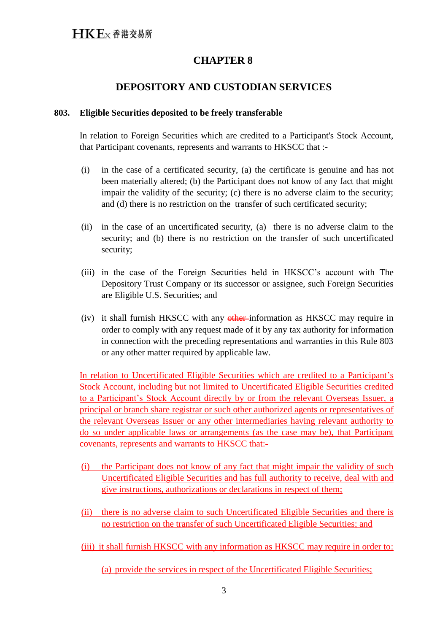## **DEPOSITORY AND CUSTODIAN SERVICES**

#### **803. Eligible Securities deposited to be freely transferable**

In relation to Foreign Securities which are credited to a Participant's Stock Account, that Participant covenants, represents and warrants to HKSCC that :-

- (i) in the case of a certificated security, (a) the certificate is genuine and has not been materially altered; (b) the Participant does not know of any fact that might impair the validity of the security; (c) there is no adverse claim to the security; and (d) there is no restriction on the transfer of such certificated security;
- (ii) in the case of an uncertificated security, (a) there is no adverse claim to the security; and (b) there is no restriction on the transfer of such uncertificated security;
- (iii) in the case of the Foreign Securities held in HKSCC's account with The Depository Trust Company or its successor or assignee, such Foreign Securities are Eligible U.S. Securities; and
- (iv) it shall furnish HKSCC with any other information as HKSCC may require in order to comply with any request made of it by any tax authority for information in connection with the preceding representations and warranties in this Rule 803 or any other matter required by applicable law.

In relation to Uncertificated Eligible Securities which are credited to a Participant's Stock Account, including but not limited to Uncertificated Eligible Securities credited to a Participant's Stock Account directly by or from the relevant Overseas Issuer, a principal or branch share registrar or such other authorized agents or representatives of the relevant Overseas Issuer or any other intermediaries having relevant authority to do so under applicable laws or arrangements (as the case may be), that Participant covenants, represents and warrants to HKSCC that:-

- (i) the Participant does not know of any fact that might impair the validity of such Uncertificated Eligible Securities and has full authority to receive, deal with and give instructions, authorizations or declarations in respect of them;
- (ii) there is no adverse claim to such Uncertificated Eligible Securities and there is no restriction on the transfer of such Uncertificated Eligible Securities; and
- (iii) it shall furnish HKSCC with any information as HKSCC may require in order to:

(a) provide the services in respect of the Uncertificated Eligible Securities;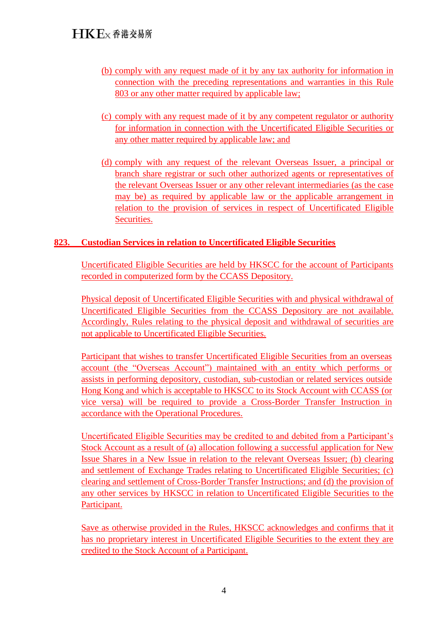- (b) comply with any request made of it by any tax authority for information in connection with the preceding representations and warranties in this Rule 803 or any other matter required by applicable law;
- (c) comply with any request made of it by any competent regulator or authority for information in connection with the Uncertificated Eligible Securities or any other matter required by applicable law; and
- (d) comply with any request of the relevant Overseas Issuer, a principal or branch share registrar or such other authorized agents or representatives of the relevant Overseas Issuer or any other relevant intermediaries (as the case may be) as required by applicable law or the applicable arrangement in relation to the provision of services in respect of Uncertificated Eligible Securities.

### **823. Custodian Services in relation to Uncertificated Eligible Securities**

Uncertificated Eligible Securities are held by HKSCC for the account of Participants recorded in computerized form by the CCASS Depository.

Physical deposit of Uncertificated Eligible Securities with and physical withdrawal of Uncertificated Eligible Securities from the CCASS Depository are not available. Accordingly, Rules relating to the physical deposit and withdrawal of securities are not applicable to Uncertificated Eligible Securities.

Participant that wishes to transfer Uncertificated Eligible Securities from an overseas account (the "Overseas Account") maintained with an entity which performs or assists in performing depository, custodian, sub-custodian or related services outside Hong Kong and which is acceptable to HKSCC to its Stock Account with CCASS (or vice versa) will be required to provide a Cross-Border Transfer Instruction in accordance with the Operational Procedures.

Uncertificated Eligible Securities may be credited to and debited from a Participant's Stock Account as a result of (a) allocation following a successful application for New Issue Shares in a New Issue in relation to the relevant Overseas Issuer; (b) clearing and settlement of Exchange Trades relating to Uncertificated Eligible Securities; (c) clearing and settlement of Cross-Border Transfer Instructions; and (d) the provision of any other services by HKSCC in relation to Uncertificated Eligible Securities to the Participant.

Save as otherwise provided in the Rules, HKSCC acknowledges and confirms that it has no proprietary interest in Uncertificated Eligible Securities to the extent they are credited to the Stock Account of a Participant.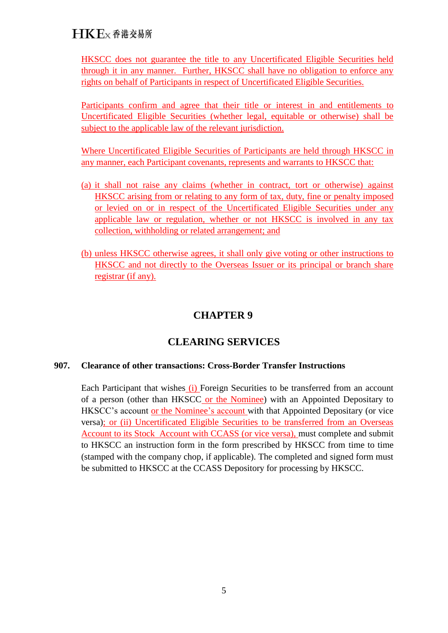HKSCC does not guarantee the title to any Uncertificated Eligible Securities held through it in any manner. Further, HKSCC shall have no obligation to enforce any rights on behalf of Participants in respect of Uncertificated Eligible Securities.

Participants confirm and agree that their title or interest in and entitlements to Uncertificated Eligible Securities (whether legal, equitable or otherwise) shall be subject to the applicable law of the relevant jurisdiction.

Where Uncertificated Eligible Securities of Participants are held through HKSCC in any manner, each Participant covenants, represents and warrants to HKSCC that:

- (a) it shall not raise any claims (whether in contract, tort or otherwise) against HKSCC arising from or relating to any form of tax, duty, fine or penalty imposed or levied on or in respect of the Uncertificated Eligible Securities under any applicable law or regulation, whether or not HKSCC is involved in any tax collection, withholding or related arrangement; and
- (b) unless HKSCC otherwise agrees, it shall only give voting or other instructions to HKSCC and not directly to the Overseas Issuer or its principal or branch share registrar (if any).

## **CHAPTER 9**

## **CLEARING SERVICES**

### **907. Clearance of other transactions: Cross-Border Transfer Instructions**

Each Participant that wishes (i) Foreign Securities to be transferred from an account of a person (other than HKSCC or the Nominee) with an Appointed Depositary to HKSCC's account or the Nominee's account with that Appointed Depositary (or vice versa); or (ii) Uncertificated Eligible Securities to be transferred from an Overseas Account to its Stock Account with CCASS (or vice versa), must complete and submit to HKSCC an instruction form in the form prescribed by HKSCC from time to time (stamped with the company chop, if applicable). The completed and signed form must be submitted to HKSCC at the CCASS Depository for processing by HKSCC.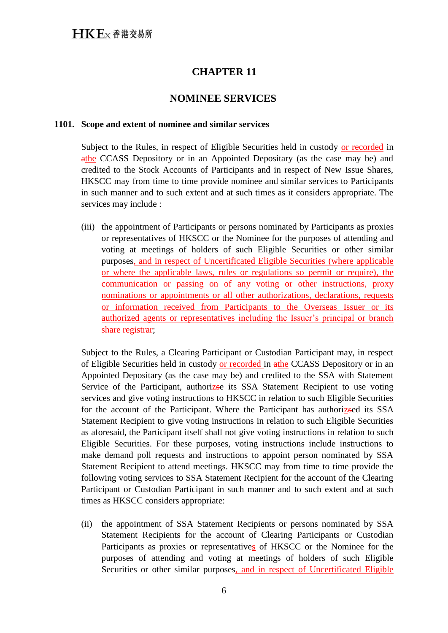### **NOMINEE SERVICES**

#### **1101. Scope and extent of nominee and similar services**

Subject to the Rules, in respect of Eligible Securities held in custody or recorded in athe CCASS Depository or in an Appointed Depositary (as the case may be) and credited to the Stock Accounts of Participants and in respect of New Issue Shares, HKSCC may from time to time provide nominee and similar services to Participants in such manner and to such extent and at such times as it considers appropriate. The services may include :

(iii) the appointment of Participants or persons nominated by Participants as proxies or representatives of HKSCC or the Nominee for the purposes of attending and voting at meetings of holders of such Eligible Securities or other similar purposes, and in respect of Uncertificated Eligible Securities (where applicable or where the applicable laws, rules or regulations so permit or require), the communication or passing on of any voting or other instructions, proxy nominations or appointments or all other authorizations, declarations, requests or information received from Participants to the Overseas Issuer or its authorized agents or representatives including the Issuer's principal or branch share registrar;

Subject to the Rules, a Clearing Participant or Custodian Participant may, in respect of Eligible Securities held in custody or recorded in athe CCASS Depository or in an Appointed Depositary (as the case may be) and credited to the SSA with Statement Service of the Participant, authorizse its SSA Statement Recipient to use voting services and give voting instructions to HKSCC in relation to such Eligible Securities for the account of the Participant. Where the Participant has authorizsed its SSA Statement Recipient to give voting instructions in relation to such Eligible Securities as aforesaid, the Participant itself shall not give voting instructions in relation to such Eligible Securities. For these purposes, voting instructions include instructions to make demand poll requests and instructions to appoint person nominated by SSA Statement Recipient to attend meetings. HKSCC may from time to time provide the following voting services to SSA Statement Recipient for the account of the Clearing Participant or Custodian Participant in such manner and to such extent and at such times as HKSCC considers appropriate:

(ii) the appointment of SSA Statement Recipients or persons nominated by SSA Statement Recipients for the account of Clearing Participants or Custodian Participants as proxies or representatives of HKSCC or the Nominee for the purposes of attending and voting at meetings of holders of such Eligible Securities or other similar purposes, and in respect of Uncertificated Eligible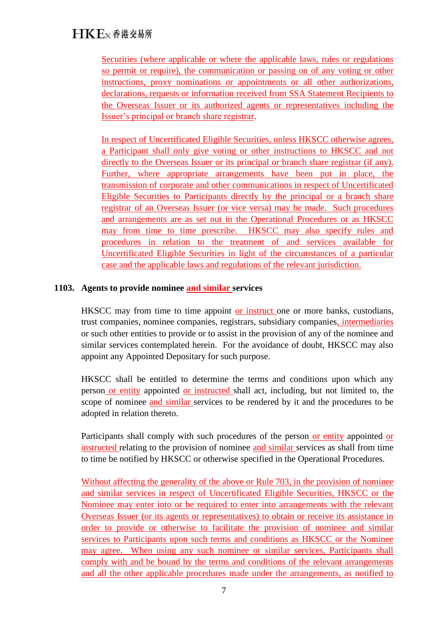Securities (where applicable or where the applicable laws, rules or regulations so permit or require), the communication or passing on of any voting or other instructions, proxy nominations or appointments or all other authorizations, declarations, requests or information received from SSA Statement Recipients to the Overseas Issuer or its authorized agents or representatives including the Issuer's principal or branch share registrar.

In respect of Uncertificated Eligible Securities, unless HKSCC otherwise agrees, a Participant shall only give voting or other instructions to HKSCC and not directly to the Overseas Issuer or its principal or branch share registrar (if any). Further, where appropriate arrangements have been put in place, the transmission of corporate and other communications in respect of Uncertificated Eligible Securities to Participants directly by the principal or a branch share registrar of an Overseas Issuer (or vice versa) may be made. Such procedures and arrangements are as set out in the Operational Procedures or as HKSCC may from time to time prescribe. HKSCC may also specify rules and procedures in relation to the treatment of and services available for Uncertificated Eligible Securities in light of the circumstances of a particular case and the applicable laws and regulations of the relevant jurisdiction.

### **1103. Agents to provide nominee and similar services**

HKSCC may from time to time appoint or instruct one or more banks, custodians, trust companies, nominee companies, registrars, subsidiary companies, intermediaries or such other entities to provide or to assist in the provision of any of the nominee and similar services contemplated herein. For the avoidance of doubt, HKSCC may also appoint any Appointed Depositary for such purpose.

HKSCC shall be entitled to determine the terms and conditions upon which any person or entity appointed or instructed shall act, including, but not limited to, the scope of nominee and similar services to be rendered by it and the procedures to be adopted in relation thereto.

Participants shall comply with such procedures of the person or entity appointed or instructed relating to the provision of nominee and similar services as shall from time to time be notified by HKSCC or otherwise specified in the Operational Procedures.

Without affecting the generality of the above or Rule 703, in the provision of nominee and similar services in respect of Uncertificated Eligible Securities, HKSCC or the Nominee may enter into or be required to enter into arrangements with the relevant Overseas Issuer (or its agents or representatives) to obtain or receive its assistance in order to provide or otherwise to facilitate the provision of nominee and similar services to Participants upon such terms and conditions as HKSCC or the Nominee may agree. When using any such nominee or similar services, Participants shall comply with and be bound by the terms and conditions of the relevant arrangements and all the other applicable procedures made under the arrangements, as notified to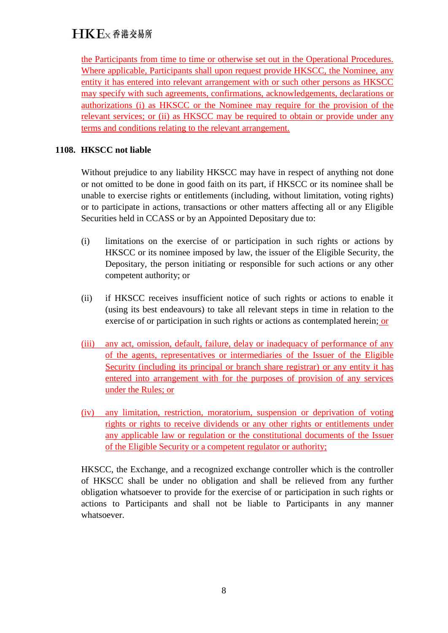the Participants from time to time or otherwise set out in the Operational Procedures. Where applicable, Participants shall upon request provide HKSCC, the Nominee, any entity it has entered into relevant arrangement with or such other persons as HKSCC may specify with such agreements, confirmations, acknowledgements, declarations or authorizations (i) as HKSCC or the Nominee may require for the provision of the relevant services; or (ii) as HKSCC may be required to obtain or provide under any terms and conditions relating to the relevant arrangement.

### **1108. HKSCC not liable**

Without prejudice to any liability HKSCC may have in respect of anything not done or not omitted to be done in good faith on its part, if HKSCC or its nominee shall be unable to exercise rights or entitlements (including, without limitation, voting rights) or to participate in actions, transactions or other matters affecting all or any Eligible Securities held in CCASS or by an Appointed Depositary due to:

- (i) limitations on the exercise of or participation in such rights or actions by HKSCC or its nominee imposed by law, the issuer of the Eligible Security, the Depositary, the person initiating or responsible for such actions or any other competent authority; or
- (ii) if HKSCC receives insufficient notice of such rights or actions to enable it (using its best endeavours) to take all relevant steps in time in relation to the exercise of or participation in such rights or actions as contemplated herein; or
- (iii) any act, omission, default, failure, delay or inadequacy of performance of any of the agents, representatives or intermediaries of the Issuer of the Eligible Security (including its principal or branch share registrar) or any entity it has entered into arrangement with for the purposes of provision of any services under the Rules; or
- (iv) any limitation, restriction, moratorium, suspension or deprivation of voting rights or rights to receive dividends or any other rights or entitlements under any applicable law or regulation or the constitutional documents of the Issuer of the Eligible Security or a competent regulator or authority;

HKSCC, the Exchange, and a recognized exchange controller which is the controller of HKSCC shall be under no obligation and shall be relieved from any further obligation whatsoever to provide for the exercise of or participation in such rights or actions to Participants and shall not be liable to Participants in any manner whatsoever.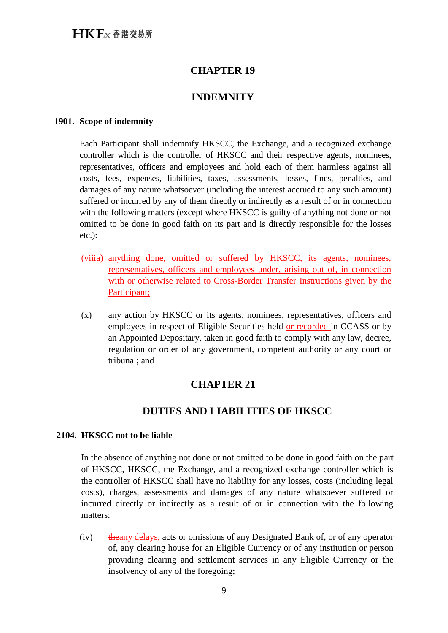## **INDEMNITY**

#### **1901. Scope of indemnity**

Each Participant shall indemnify HKSCC, the Exchange, and a recognized exchange controller which is the controller of HKSCC and their respective agents, nominees, representatives, officers and employees and hold each of them harmless against all costs, fees, expenses, liabilities, taxes, assessments, losses, fines, penalties, and damages of any nature whatsoever (including the interest accrued to any such amount) suffered or incurred by any of them directly or indirectly as a result of or in connection with the following matters (except where HKSCC is guilty of anything not done or not omitted to be done in good faith on its part and is directly responsible for the losses etc.):

- (viiia) anything done, omitted or suffered by HKSCC, its agents, nominees, representatives, officers and employees under, arising out of, in connection with or otherwise related to Cross-Border Transfer Instructions given by the Participant;
- (x) any action by HKSCC or its agents, nominees, representatives, officers and employees in respect of Eligible Securities held or recorded in CCASS or by an Appointed Depositary, taken in good faith to comply with any law, decree, regulation or order of any government, competent authority or any court or tribunal; and

## **CHAPTER 21**

## **DUTIES AND LIABILITIES OF HKSCC**

#### **2104. HKSCC not to be liable**

In the absence of anything not done or not omitted to be done in good faith on the part of HKSCC, HKSCC, the Exchange, and a recognized exchange controller which is the controller of HKSCC shall have no liability for any losses, costs (including legal costs), charges, assessments and damages of any nature whatsoever suffered or incurred directly or indirectly as a result of or in connection with the following matters:

(iv) the any delays, acts or omissions of any Designated Bank of, or of any operator of, any clearing house for an Eligible Currency or of any institution or person providing clearing and settlement services in any Eligible Currency or the insolvency of any of the foregoing;